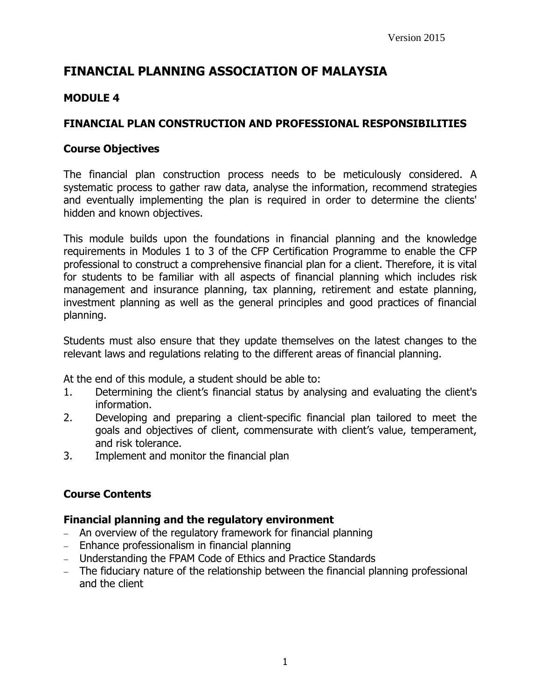# **FINANCIAL PLANNING ASSOCIATION OF MALAYSIA**

# **MODULE 4**

## **FINANCIAL PLAN CONSTRUCTION AND PROFESSIONAL RESPONSIBILITIES**

#### **Course Objectives**

The financial plan construction process needs to be meticulously considered. A systematic process to gather raw data, analyse the information, recommend strategies and eventually implementing the plan is required in order to determine the clients' hidden and known objectives.

This module builds upon the foundations in financial planning and the knowledge requirements in Modules 1 to 3 of the CFP Certification Programme to enable the CFP professional to construct a comprehensive financial plan for a client. Therefore, it is vital for students to be familiar with all aspects of financial planning which includes risk management and insurance planning, tax planning, retirement and estate planning, investment planning as well as the general principles and good practices of financial planning.

Students must also ensure that they update themselves on the latest changes to the relevant laws and regulations relating to the different areas of financial planning.

At the end of this module, a student should be able to:

- 1. Determining the client's financial status by analysing and evaluating the client's information.
- 2. Developing and preparing a client-specific financial plan tailored to meet the goals and objectives of client, commensurate with client's value, temperament, and risk tolerance.
- 3. Implement and monitor the financial plan

# **Course Contents**

#### **Financial planning and the regulatory environment**

- An overview of the regulatory framework for financial planning
- Enhance professionalism in financial planning
- Understanding the FPAM Code of Ethics and Practice Standards
- The fiduciary nature of the relationship between the financial planning professional and the client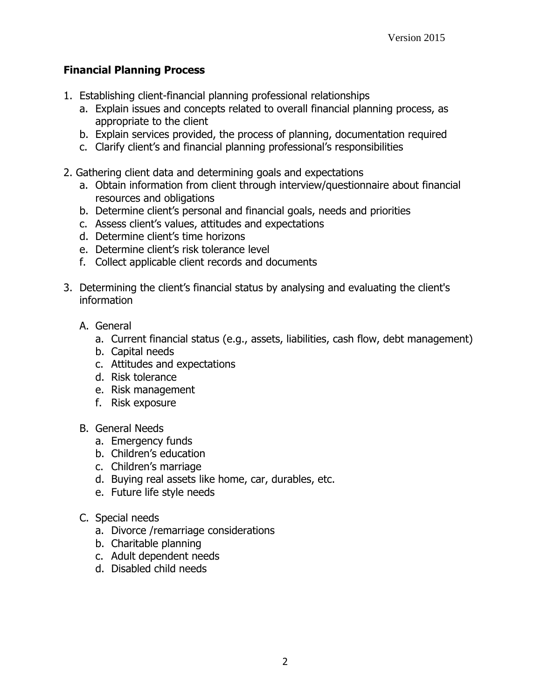# **Financial Planning Process**

- 1. Establishing client-financial planning professional relationships
	- a. Explain issues and concepts related to overall financial planning process, as appropriate to the client
	- b. Explain services provided, the process of planning, documentation required
	- c. Clarify client's and financial planning professional's responsibilities
- 2. Gathering client data and determining goals and expectations
	- a. Obtain information from client through interview/questionnaire about financial resources and obligations
	- b. Determine client's personal and financial goals, needs and priorities
	- c. Assess client's values, attitudes and expectations
	- d. Determine client's time horizons
	- e. Determine client's risk tolerance level
	- f. Collect applicable client records and documents
- 3. Determining the client's financial status by analysing and evaluating the client's information
	- A. General
		- a. Current financial status (e.g., assets, liabilities, cash flow, debt management)
		- b. Capital needs
		- c. Attitudes and expectations
		- d. Risk tolerance
		- e. Risk management
		- f. Risk exposure
	- B. General Needs
		- a. Emergency funds
		- b. Children's education
		- c. Children's marriage
		- d. Buying real assets like home, car, durables, etc.
		- e. Future life style needs
	- C. Special needs
		- a. Divorce /remarriage considerations
		- b. Charitable planning
		- c. Adult dependent needs
		- d. Disabled child needs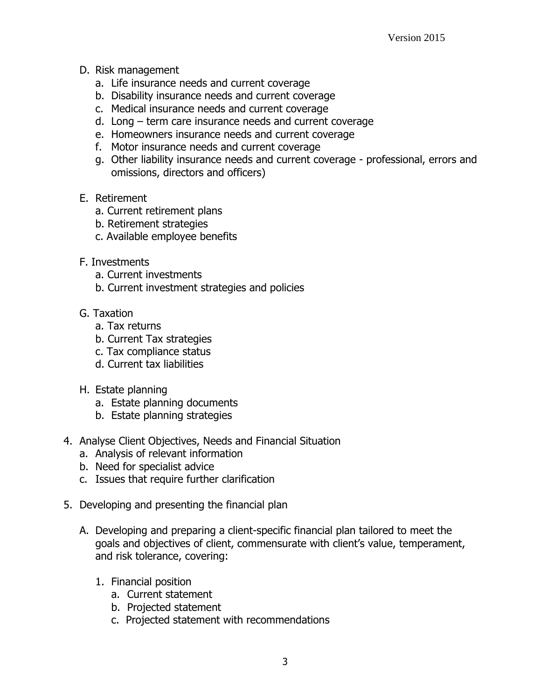- D. Risk management
	- a. Life insurance needs and current coverage
	- b. Disability insurance needs and current coverage
	- c. Medical insurance needs and current coverage
	- d. Long term care insurance needs and current coverage
	- e. Homeowners insurance needs and current coverage
	- f. Motor insurance needs and current coverage
	- g. Other liability insurance needs and current coverage professional, errors and omissions, directors and officers)
- E. Retirement
	- a. Current retirement plans
	- b. Retirement strategies
	- c. Available employee benefits
- F. Investments
	- a. Current investments
	- b. Current investment strategies and policies
- G. Taxation
	- a. Tax returns
	- b. Current Tax strategies
	- c. Tax compliance status
	- d. Current tax liabilities
- H. Estate planning
	- a. Estate planning documents
	- b. Estate planning strategies
- 4. Analyse Client Objectives, Needs and Financial Situation
	- a. Analysis of relevant information
	- b. Need for specialist advice
	- c. Issues that require further clarification
- 5. Developing and presenting the financial plan
	- A. Developing and preparing a client-specific financial plan tailored to meet the goals and objectives of client, commensurate with client's value, temperament, and risk tolerance, covering:
		- 1. Financial position
			- a. Current statement
			- b. Projected statement
			- c. Projected statement with recommendations